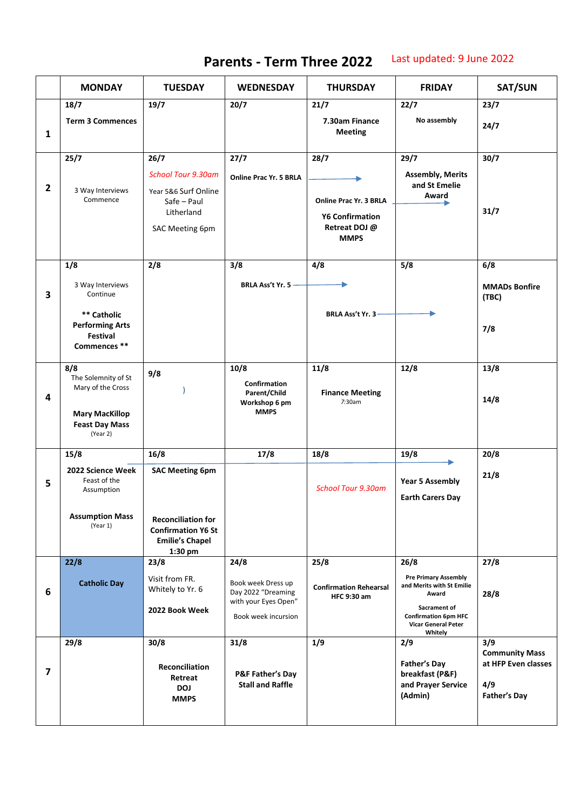## **Parents - Term Three 2022** Last updated: 9 June 2022

|                          | <b>MONDAY</b>                                                                                                 | <b>TUESDAY</b>                                                                                                                | <b>WEDNESDAY</b>                                                                                | <b>THURSDAY</b>                                                                          | <b>FRIDAY</b>                                                                                                                                                     | SAT/SUN                                                                           |
|--------------------------|---------------------------------------------------------------------------------------------------------------|-------------------------------------------------------------------------------------------------------------------------------|-------------------------------------------------------------------------------------------------|------------------------------------------------------------------------------------------|-------------------------------------------------------------------------------------------------------------------------------------------------------------------|-----------------------------------------------------------------------------------|
|                          | 18/7                                                                                                          | 19/7                                                                                                                          | 20/7                                                                                            | 21/7                                                                                     | 22/7                                                                                                                                                              | 23/7                                                                              |
| 1                        | <b>Term 3 Commences</b>                                                                                       |                                                                                                                               |                                                                                                 | 7.30am Finance<br><b>Meeting</b>                                                         | No assembly                                                                                                                                                       | 24/7                                                                              |
| $\mathbf{2}$             | 25/7<br>3 Way Interviews<br>Commence                                                                          | 26/7<br><b>School Tour 9.30am</b><br>Year 5&6 Surf Online<br>Safe – Paul<br>Litherland<br>SAC Meeting 6pm                     | 27/7<br>Online Prac Yr. 5 BRLA                                                                  | 28/7<br>Online Prac Yr. 3 BRLA<br><b>Y6 Confirmation</b><br>Retreat DOJ @<br><b>MMPS</b> | 29/7<br><b>Assembly, Merits</b><br>and St Emelie<br>Award                                                                                                         | 30/7<br>31/7                                                                      |
| 3                        | 1/8<br>3 Way Interviews<br>Continue<br>** Catholic<br><b>Performing Arts</b><br>Festival<br>Commences **      | 2/8                                                                                                                           | 3/8<br>BRLA Ass't Yr. 5 -                                                                       | 4/8<br>BRLA Ass't Yr. 3-                                                                 | 5/8                                                                                                                                                               | 6/8<br><b>MMADs Bonfire</b><br>(TBC)<br>7/8                                       |
| 4                        | 8/8<br>The Solemnity of St<br>Mary of the Cross<br><b>Mary MacKillop</b><br><b>Feast Day Mass</b><br>(Year 2) | 9/8                                                                                                                           | 10/8<br>Confirmation<br>Parent/Child<br>Workshop 6 pm<br><b>MMPS</b>                            | 11/8<br><b>Finance Meeting</b><br>7:30am                                                 | 12/8                                                                                                                                                              | 13/8<br>14/8                                                                      |
| 5                        | 15/8<br>2022 Science Week<br>Feast of the<br>Assumption<br><b>Assumption Mass</b><br>(Year 1)                 | 16/8<br><b>SAC Meeting 6pm</b><br><b>Reconciliation for</b><br><b>Confirmation Y6 St</b><br><b>Emilie's Chapel</b><br>1:30 pm | 17/8                                                                                            | 18/8<br><b>School Tour 9.30am</b>                                                        | 19/8<br><b>Year 5 Assembly</b><br><b>Earth Carers Day</b>                                                                                                         | 20/8<br>21/8                                                                      |
| 6                        | 22/8<br><b>Catholic Day</b>                                                                                   | 23/8<br>Visit from FR.<br>Whitely to Yr. 6<br>2022 Book Week                                                                  | 24/8<br>Book week Dress up<br>Day 2022 "Dreaming<br>with your Eyes Open"<br>Book week incursion | 25/8<br><b>Confirmation Rehearsal</b><br><b>HFC 9:30 am</b>                              | 26/8<br><b>Pre Primary Assembly</b><br>and Merits with St Emilie<br>Award<br>Sacrament of<br><b>Confirmation 6pm HFC</b><br><b>Vicar General Peter</b><br>Whitely | 27/8<br>28/8                                                                      |
| $\overline{\phantom{a}}$ | 29/8                                                                                                          | 30/8<br>Reconciliation<br>Retreat<br><b>DOJ</b><br><b>MMPS</b>                                                                | 31/8<br><b>P&amp;F Father's Day</b><br><b>Stall and Raffle</b>                                  | 1/9                                                                                      | 2/9<br><b>Father's Day</b><br>breakfast (P&F)<br>and Prayer Service<br>(Admin)                                                                                    | 3/9<br><b>Community Mass</b><br>at HFP Even classes<br>4/9<br><b>Father's Day</b> |